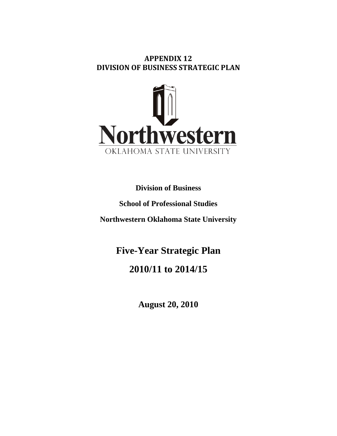## **APPENDIX 12 DIVISION OF BUSINESS STRATEGIC PLAN**



**Division of Business** 

# **School of Professional Studies**

**Northwestern Oklahoma State University**

# **Five-Year Strategic Plan**

# **2010/11 to 2014/15**

**August 20, 2010**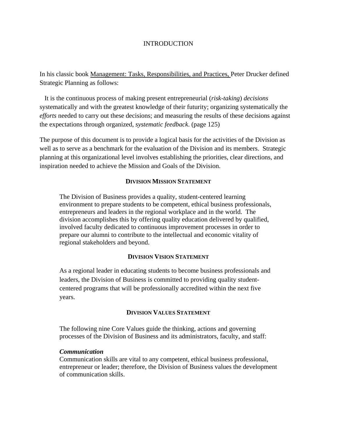#### INTRODUCTION

In his classic book Management: Tasks, Responsibilities, and Practices, Peter Drucker defined Strategic Planning as follows:

 It is the continuous process of making present entrepreneurial (*risk-taking*) *decisions* systematically and with the greatest knowledge of their futurity; organizing systematically the *efforts* needed to carry out these decisions; and measuring the results of these decisions against the expectations through organized, *systematic feedback*. (page 125)

The purpose of this document is to provide a logical basis for the activities of the Division as well as to serve as a benchmark for the evaluation of the Division and its members. Strategic planning at this organizational level involves establishing the priorities, clear directions, and inspiration needed to achieve the Mission and Goals of the Division.

#### **DIVISION MISSION STATEMENT**

The Division of Business provides a quality, student-centered learning environment to prepare students to be competent, ethical business professionals, entrepreneurs and leaders in the regional workplace and in the world. The division accomplishes this by offering quality education delivered by qualified, involved faculty dedicated to continuous improvement processes in order to prepare our alumni to contribute to the intellectual and economic vitality of regional stakeholders and beyond.

#### **DIVISION VISION STATEMENT**

As a regional leader in educating students to become business professionals and leaders, the Division of Business is committed to providing quality studentcentered programs that will be professionally accredited within the next five years.

#### **DIVISION VALUES STATEMENT**

The following nine Core Values guide the thinking, actions and governing processes of the Division of Business and its administrators, faculty, and staff:

#### *Communication*

Communication skills are vital to any competent, ethical business professional, entrepreneur or leader; therefore, the Division of Business values the development of communication skills.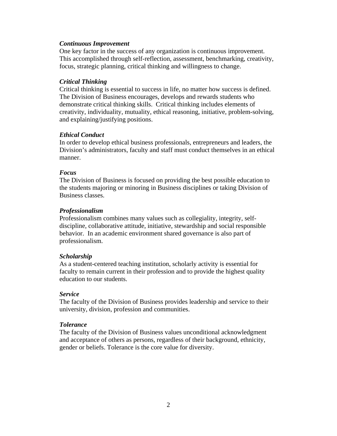#### *Continuous Improvement*

One key factor in the success of any organization is continuous improvement. This accomplished through self-reflection, assessment, benchmarking, creativity, focus, strategic planning, critical thinking and willingness to change.

#### *Critical Thinking*

Critical thinking is essential to success in life, no matter how success is defined. The Division of Business encourages, develops and rewards students who demonstrate critical thinking skills. Critical thinking includes elements of creativity, individuality, mutuality, ethical reasoning, initiative, problem-solving, and explaining/justifying positions.

#### *Ethical Conduct*

In order to develop ethical business professionals, entrepreneurs and leaders, the Division's administrators, faculty and staff must conduct themselves in an ethical manner.

#### *Focus*

The Division of Business is focused on providing the best possible education to the students majoring or minoring in Business disciplines or taking Division of Business classes.

#### *Professionalism*

Professionalism combines many values such as collegiality, integrity, selfdiscipline, collaborative attitude, initiative, stewardship and social responsible behavior. In an academic environment shared governance is also part of professionalism.

#### *Scholarship*

As a student-centered teaching institution, scholarly activity is essential for faculty to remain current in their profession and to provide the highest quality education to our students.

#### *Service*

The faculty of the Division of Business provides leadership and service to their university, division, profession and communities.

#### *Tolerance*

The faculty of the Division of Business values unconditional acknowledgment and acceptance of others as persons, regardless of their background, ethnicity, gender or beliefs. Tolerance is the core value for diversity.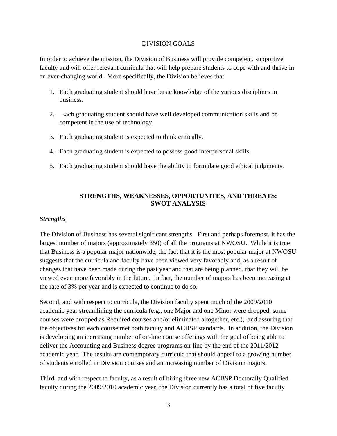#### DIVISION GOALS

In order to achieve the mission, the Division of Business will provide competent, supportive faculty and will offer relevant curricula that will help prepare students to cope with and thrive in an ever-changing world. More specifically, the Division believes that:

- 1. Each graduating student should have basic knowledge of the various disciplines in business.
- 2. Each graduating student should have well developed communication skills and be competent in the use of technology.
- 3. Each graduating student is expected to think critically.
- 4. Each graduating student is expected to possess good interpersonal skills.
- 5. Each graduating student should have the ability to formulate good ethical judgments.

## **STRENGTHS, WEAKNESSES, OPPORTUNITES, AND THREATS: SWOT ANALYSIS**

#### *Strengths*

The Division of Business has several significant strengths. First and perhaps foremost, it has the largest number of majors (approximately 350) of all the programs at NWOSU. While it is true that Business is a popular major nationwide, the fact that it is the most popular major at NWOSU suggests that the curricula and faculty have been viewed very favorably and, as a result of changes that have been made during the past year and that are being planned, that they will be viewed even more favorably in the future. In fact, the number of majors has been increasing at the rate of 3% per year and is expected to continue to do so.

Second, and with respect to curricula, the Division faculty spent much of the 2009/2010 academic year streamlining the curricula (e.g., one Major and one Minor were dropped, some courses were dropped as Required courses and/or eliminated altogether, etc.), and assuring that the objectives for each course met both faculty and ACBSP standards. In addition, the Division is developing an increasing number of on-line course offerings with the goal of being able to deliver the Accounting and Business degree programs on-line by the end of the 2011/2012 academic year. The results are contemporary curricula that should appeal to a growing number of students enrolled in Division courses and an increasing number of Division majors.

Third, and with respect to faculty, as a result of hiring three new ACBSP Doctorally Qualified faculty during the 2009/2010 academic year, the Division currently has a total of five faculty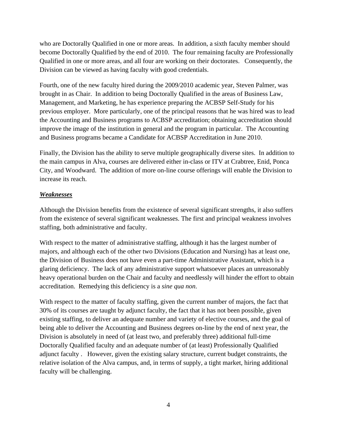who are Doctorally Qualified in one or more areas. In addition, a sixth faculty member should become Doctorally Qualified by the end of 2010. The four remaining faculty are Professionally Qualified in one or more areas, and all four are working on their doctorates. Consequently, the Division can be viewed as having faculty with good credentials.

Fourth, one of the new faculty hired during the 2009/2010 academic year, Steven Palmer, was brought in as Chair. In addition to being Doctorally Qualified in the areas of Business Law, Management, and Marketing, he has experience preparing the ACBSP Self-Study for his previous employer. More particularly, one of the principal reasons that he was hired was to lead the Accounting and Business programs to ACBSP accreditation; obtaining accreditation should improve the image of the institution in general and the program in particular. The Accounting and Business programs became a Candidate for ACBSP Accreditation in June 2010.

Finally, the Division has the ability to serve multiple geographically diverse sites. In addition to the main campus in Alva, courses are delivered either in-class or ITV at Crabtree, Enid, Ponca City, and Woodward. The addition of more on-line course offerings will enable the Division to increase its reach.

## *Weaknesses*

Although the Division benefits from the existence of several significant strengths, it also suffers from the existence of several significant weaknesses. The first and principal weakness involves staffing, both administrative and faculty.

With respect to the matter of administrative staffing, although it has the largest number of majors, and although each of the other two Divisions (Education and Nursing) has at least one, the Division of Business does not have even a part-time Administrative Assistant, which is a glaring deficiency. The lack of any administrative support whatsoever places an unreasonably heavy operational burden on the Chair and faculty and needlessly will hinder the effort to obtain accreditation. Remedying this deficiency is a *sine qua non*.

With respect to the matter of faculty staffing, given the current number of majors, the fact that 30% of its courses are taught by adjunct faculty, the fact that it has not been possible, given existing staffing, to deliver an adequate number and variety of elective courses, and the goal of being able to deliver the Accounting and Business degrees on-line by the end of next year, the Division is absolutely in need of (at least two, and preferably three) additional full-time Doctorally Qualified faculty and an adequate number of (at least) Professionally Qualified adjunct faculty . However, given the existing salary structure, current budget constraints, the relative isolation of the Alva campus, and, in terms of supply, a tight market, hiring additional faculty will be challenging.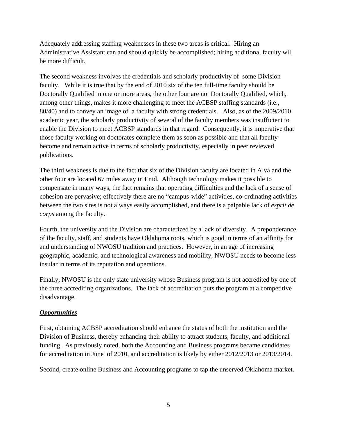Adequately addressing staffing weaknesses in these two areas is critical. Hiring an Administrative Assistant can and should quickly be accomplished; hiring additional faculty will be more difficult.

The second weakness involves the credentials and scholarly productivity of some Division faculty. While it is true that by the end of 2010 six of the ten full-time faculty should be Doctorally Qualified in one or more areas, the other four are not Doctorally Qualified, which, among other things, makes it more challenging to meet the ACBSP staffing standards (i.e., 80/40) and to convey an image of a faculty with strong credentials. Also, as of the 2009/2010 academic year, the scholarly productivity of several of the faculty members was insufficient to enable the Division to meet ACBSP standards in that regard. Consequently, it is imperative that those faculty working on doctorates complete them as soon as possible and that all faculty become and remain active in terms of scholarly productivity, especially in peer reviewed publications.

The third weakness is due to the fact that six of the Division faculty are located in Alva and the other four are located 67 miles away in Enid. Although technology makes it possible to compensate in many ways, the fact remains that operating difficulties and the lack of a sense of cohesion are pervasive; effectively there are no "campus-wide" activities, co-ordinating activities between the two sites is not always easily accomplished, and there is a palpable lack of *esprit de corps* among the faculty.

Fourth, the university and the Division are characterized by a lack of diversity. A preponderance of the faculty, staff, and students have Oklahoma roots, which is good in terms of an affinity for and understanding of NWOSU tradition and practices. However, in an age of increasing geographic, academic, and technological awareness and mobility, NWOSU needs to become less insular in terms of its reputation and operations.

Finally, NWOSU is the only state university whose Business program is not accredited by one of the three accrediting organizations. The lack of accreditation puts the program at a competitive disadvantage.

## *Opportunities*

First, obtaining ACBSP accreditation should enhance the status of both the institution and the Division of Business, thereby enhancing their ability to attract students, faculty, and additional funding. As previously noted, both the Accounting and Business programs became candidates for accreditation in June of 2010, and accreditation is likely by either 2012/2013 or 2013/2014.

Second, create online Business and Accounting programs to tap the unserved Oklahoma market.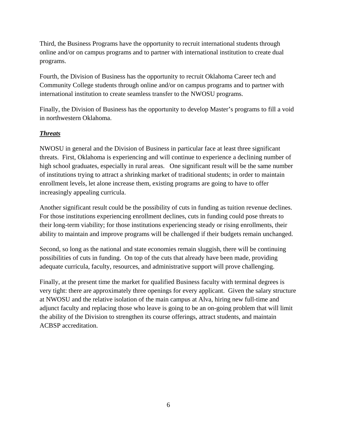Third, the Business Programs have the opportunity to recruit international students through online and/or on campus programs and to partner with international institution to create dual programs.

Fourth, the Division of Business has the opportunity to recruit Oklahoma Career tech and Community College students through online and/or on campus programs and to partner with international institution to create seamless transfer to the NWOSU programs.

Finally, the Division of Business has the opportunity to develop Master's programs to fill a void in northwestern Oklahoma.

## *Threats*

NWOSU in general and the Division of Business in particular face at least three significant threats. First, Oklahoma is experiencing and will continue to experience a declining number of high school graduates, especially in rural areas. One significant result will be the same number of institutions trying to attract a shrinking market of traditional students; in order to maintain enrollment levels, let alone increase them, existing programs are going to have to offer increasingly appealing curricula.

Another significant result could be the possibility of cuts in funding as tuition revenue declines. For those institutions experiencing enrollment declines, cuts in funding could pose threats to their long-term viability; for those institutions experiencing steady or rising enrollments, their ability to maintain and improve programs will be challenged if their budgets remain unchanged.

Second, so long as the national and state economies remain sluggish, there will be continuing possibilities of cuts in funding. On top of the cuts that already have been made, providing adequate curricula, faculty, resources, and administrative support will prove challenging.

Finally, at the present time the market for qualified Business faculty with terminal degrees is very tight: there are approximately three openings for every applicant. Given the salary structure at NWOSU and the relative isolation of the main campus at Alva, hiring new full-time and adjunct faculty and replacing those who leave is going to be an on-going problem that will limit the ability of the Division to strengthen its course offerings, attract students, and maintain ACBSP accreditation.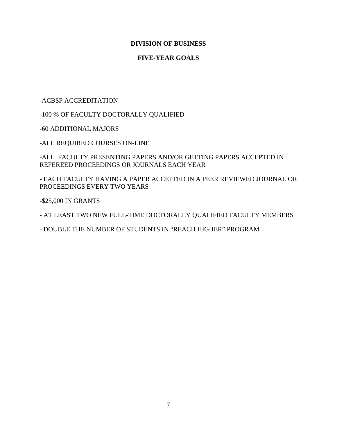### **DIVISION OF BUSINESS**

## **FIVE-YEAR GOALS**

#### -ACBSP ACCREDITATION

-100 % OF FACULTY DOCTORALLY QUALIFIED

-60 ADDITIONAL MAJORS

-ALL REQUIRED COURSES ON-LINE

-ALL FACULTY PRESENTING PAPERS AND/OR GETTING PAPERS ACCEPTED IN REFEREED PROCEEDINGS OR JOURNALS EACH YEAR

- EACH FACULTY HAVING A PAPER ACCEPTED IN A PEER REVIEWED JOURNAL OR PROCEEDINGS EVERY TWO YEARS

-\$25,000 IN GRANTS

- AT LEAST TWO NEW FULL-TIME DOCTORALLY QUALIFIED FACULTY MEMBERS

- DOUBLE THE NUMBER OF STUDENTS IN "REACH HIGHER" PROGRAM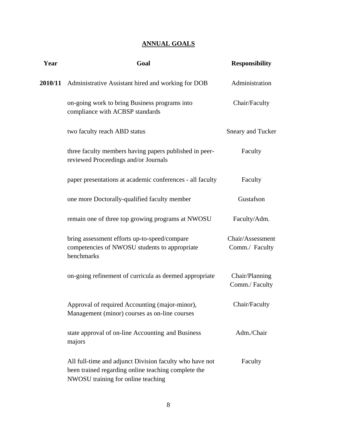## **ANNUAL GOALS**

| Year | Goal                                                                                                                                                 | <b>Responsibility</b>              |
|------|------------------------------------------------------------------------------------------------------------------------------------------------------|------------------------------------|
|      | 2010/11 Administrative Assistant hired and working for DOB                                                                                           | Administration                     |
|      | on-going work to bring Business programs into<br>compliance with ACBSP standards                                                                     | Chair/Faculty                      |
|      | two faculty reach ABD status                                                                                                                         | <b>Sneary and Tucker</b>           |
|      | three faculty members having papers published in peer-<br>reviewed Proceedings and/or Journals                                                       | Faculty                            |
|      | paper presentations at academic conferences - all faculty                                                                                            | Faculty                            |
|      | one more Doctorally-qualified faculty member                                                                                                         | Gustafson                          |
|      | remain one of three top growing programs at NWOSU                                                                                                    | Faculty/Adm.                       |
|      | bring assessment efforts up-to-speed/compare<br>competencies of NWOSU students to appropriate<br>benchmarks                                          | Chair/Assessment<br>Comm./ Faculty |
|      | on-going refinement of curricula as deemed appropriate                                                                                               | Chair/Planning<br>Comm./ Faculty   |
|      | Approval of required Accounting (major-minor),<br>Management (minor) courses as on-line courses                                                      | Chair/Faculty                      |
|      | state approval of on-line Accounting and Business<br>majors                                                                                          | Adm./Chair                         |
|      | All full-time and adjunct Division faculty who have not<br>been trained regarding online teaching complete the<br>NWOSU training for online teaching | Faculty                            |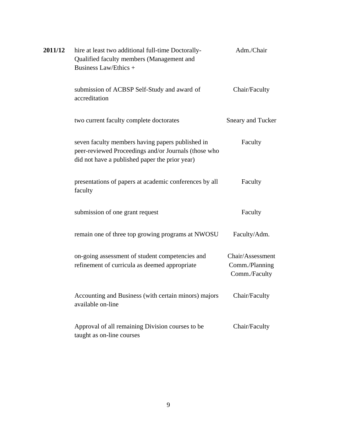| 2011/12 | hire at least two additional full-time Doctorally-<br>Qualified faculty members (Management and<br>Business Law/Ethics +                                   | Adm./Chair                                          |
|---------|------------------------------------------------------------------------------------------------------------------------------------------------------------|-----------------------------------------------------|
|         | submission of ACBSP Self-Study and award of<br>accreditation                                                                                               | Chair/Faculty                                       |
|         | two current faculty complete doctorates                                                                                                                    | <b>Sneary and Tucker</b>                            |
|         | seven faculty members having papers published in<br>peer-reviewed Proceedings and/or Journals (those who<br>did not have a published paper the prior year) | Faculty                                             |
|         | presentations of papers at academic conferences by all<br>faculty                                                                                          | Faculty                                             |
|         | submission of one grant request                                                                                                                            | Faculty                                             |
|         | remain one of three top growing programs at NWOSU                                                                                                          | Faculty/Adm.                                        |
|         | on-going assessment of student competencies and<br>refinement of curricula as deemed appropriate                                                           | Chair/Assessment<br>Comm./Planning<br>Comm./Faculty |
|         | Accounting and Business (with certain minors) majors<br>available on-line                                                                                  | Chair/Faculty                                       |
|         | Approval of all remaining Division courses to be<br>taught as on-line courses                                                                              | Chair/Faculty                                       |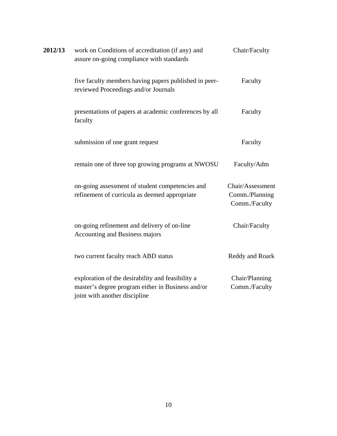| 2012/13 | work on Conditions of accreditation (if any) and<br>assure on-going compliance with standards                                           | Chair/Faculty                                       |
|---------|-----------------------------------------------------------------------------------------------------------------------------------------|-----------------------------------------------------|
|         | five faculty members having papers published in peer-<br>reviewed Proceedings and/or Journals                                           | Faculty                                             |
|         | presentations of papers at academic conferences by all<br>faculty                                                                       | Faculty                                             |
|         | submission of one grant request                                                                                                         | Faculty                                             |
|         | remain one of three top growing programs at NWOSU                                                                                       | Faculty/Adm                                         |
|         | on-going assessment of student competencies and<br>refinement of curricula as deemed appropriate                                        | Chair/Assessment<br>Comm./Planning<br>Comm./Faculty |
|         | on-going refinement and delivery of on-line<br>Accounting and Business majors                                                           | Chair/Faculty                                       |
|         | two current faculty reach ABD status                                                                                                    | Reddy and Roark                                     |
|         | exploration of the desirability and feasibility a<br>master's degree program either in Business and/or<br>joint with another discipline | Chair/Planning<br>Comm./Faculty                     |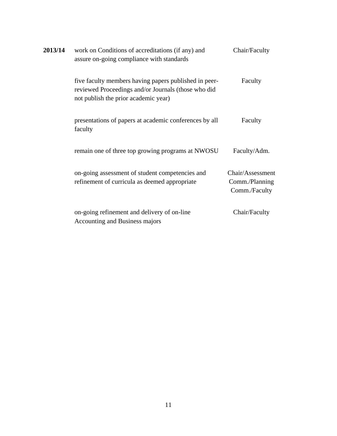| 2013/14 | work on Conditions of accreditations (if any) and<br>assure on-going compliance with standards                                                       | Chair/Faculty                                       |
|---------|------------------------------------------------------------------------------------------------------------------------------------------------------|-----------------------------------------------------|
|         | five faculty members having papers published in peer-<br>reviewed Proceedings and/or Journals (those who did<br>not publish the prior academic year) | Faculty                                             |
|         | presentations of papers at academic conferences by all<br>faculty                                                                                    | Faculty                                             |
|         | remain one of three top growing programs at NWOSU                                                                                                    | Faculty/Adm.                                        |
|         | on-going assessment of student competencies and<br>refinement of curricula as deemed appropriate                                                     | Chair/Assessment<br>Comm./Planning<br>Comm./Faculty |
|         | on-going refinement and delivery of on-line<br><b>Accounting and Business majors</b>                                                                 | Chair/Faculty                                       |